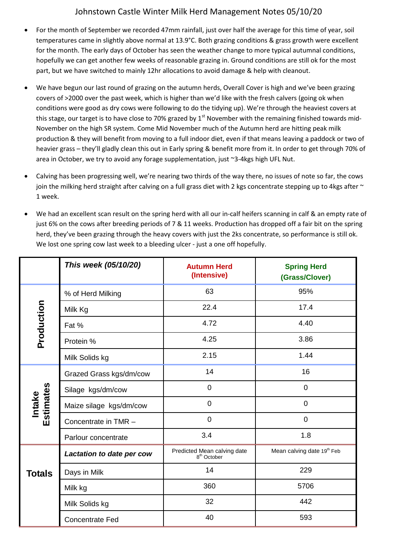## Johnstown Castle Winter Milk Herd Management Notes 05/10/20

- For the month of September we recorded 47mm rainfall, just over half the average for this time of year, soil temperatures came in slightly above normal at 13.9°C. Both grazing conditions & grass growth were excellent for the month. The early days of October has seen the weather change to more typical autumnal conditions, hopefully we can get another few weeks of reasonable grazing in. Ground conditions are still ok for the most part, but we have switched to mainly 12hr allocations to avoid damage & help with cleanout.
- We have begun our last round of grazing on the autumn herds, Overall Cover is high and we've been grazing covers of >2000 over the past week, which is higher than we'd like with the fresh calvers (going ok when conditions were good as dry cows were following to do the tidying up). We're through the heaviest covers at this stage, our target is to have close to 70% grazed by  $1<sup>st</sup>$  November with the remaining finished towards mid-November on the high SR system. Come Mid November much of the Autumn herd are hitting peak milk production & they will benefit from moving to a full indoor diet, even if that means leaving a paddock or two of heavier grass – they'll gladly clean this out in Early spring & benefit more from it. In order to get through 70% of area in October, we try to avoid any forage supplementation, just ~3-4kgs high UFL Nut.
- Calving has been progressing well, we're nearing two thirds of the way there, no issues of note so far, the cows join the milking herd straight after calving on a full grass diet with 2 kgs concentrate stepping up to 4kgs after  $\sim$ 1 week.
- We had an excellent scan result on the spring herd with all our in-calf heifers scanning in calf & an empty rate of just 6% on the cows after breeding periods of 7 & 11 weeks. Production has dropped off a fair bit on the spring herd, they've been grazing through the heavy covers with just the 2ks concentrate, so performance is still ok. We lost one spring cow last week to a bleeding ulcer - just a one off hopefully.

|                            | This week (05/10/20)      | <b>Autumn Herd</b><br>(Intensive)                      | <b>Spring Herd</b><br>(Grass/Clover) |
|----------------------------|---------------------------|--------------------------------------------------------|--------------------------------------|
| Production                 | % of Herd Milking         | 63                                                     | 95%                                  |
|                            | Milk Kg                   | 22.4                                                   | 17.4                                 |
|                            | Fat %                     | 4.72                                                   | 4.40                                 |
|                            | Protein %                 | 4.25                                                   | 3.86                                 |
|                            | Milk Solids kg            | 2.15                                                   | 1.44                                 |
| Estimates<br><b>Intake</b> | Grazed Grass kgs/dm/cow   | 14                                                     | 16                                   |
|                            | Silage kgs/dm/cow         | 0                                                      | $\mathbf 0$                          |
|                            | Maize silage kgs/dm/cow   | $\overline{0}$                                         | $\mathbf 0$                          |
|                            | Concentrate in TMR -      | $\overline{0}$                                         | $\overline{0}$                       |
|                            | Parlour concentrate       | 3.4                                                    | 1.8                                  |
| <b>Totals</b>              | Lactation to date per cow | Predicted Mean calving date<br>8 <sup>th</sup> October | Mean calving date 19th Feb           |
|                            | Days in Milk              | 14                                                     | 229                                  |
|                            | Milk kg                   | 360                                                    | 5706                                 |
|                            | Milk Solids kg            | 32                                                     | 442                                  |
|                            | <b>Concentrate Fed</b>    | 40                                                     | 593                                  |